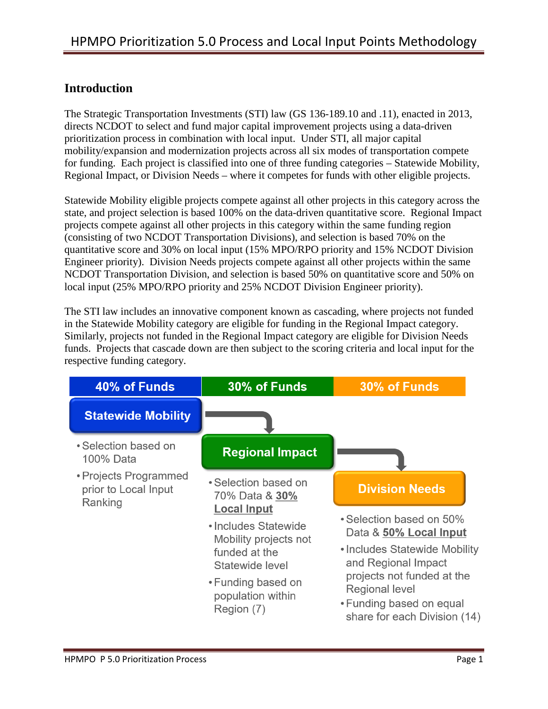## **Introduction**

The Strategic Transportation Investments (STI) law (GS 136-189.10 and .11), enacted in 2013, directs NCDOT to select and fund major capital improvement projects using a data-driven prioritization process in combination with local input. Under STI, all major capital mobility/expansion and modernization projects across all six modes of transportation compete for funding. Each project is classified into one of three funding categories – Statewide Mobility, Regional Impact, or Division Needs – where it competes for funds with other eligible projects.

Statewide Mobility eligible projects compete against all other projects in this category across the state, and project selection is based 100% on the data-driven quantitative score. Regional Impact projects compete against all other projects in this category within the same funding region (consisting of two NCDOT Transportation Divisions), and selection is based 70% on the quantitative score and 30% on local input (15% MPO/RPO priority and 15% NCDOT Division Engineer priority). Division Needs projects compete against all other projects within the same NCDOT Transportation Division, and selection is based 50% on quantitative score and 50% on local input (25% MPO/RPO priority and 25% NCDOT Division Engineer priority).

The STI law includes an innovative component known as cascading, where projects not funded in the Statewide Mobility category are eligible for funding in the Regional Impact category. Similarly, projects not funded in the Regional Impact category are eligible for Division Needs funds. Projects that cascade down are then subject to the scoring criteria and local input for the respective funding category.

| 40% of Funds                                             | 30% of Funds                                                                                                                                                     | 30% of Funds                                                                                                                                                                                                                  |
|----------------------------------------------------------|------------------------------------------------------------------------------------------------------------------------------------------------------------------|-------------------------------------------------------------------------------------------------------------------------------------------------------------------------------------------------------------------------------|
| <b>Statewide Mobility</b>                                |                                                                                                                                                                  |                                                                                                                                                                                                                               |
| • Selection based on<br>100% Data                        | <b>Regional Impact</b>                                                                                                                                           |                                                                                                                                                                                                                               |
| • Projects Programmed<br>prior to Local Input<br>Ranking | • Selection based on<br>70% Data & 30%                                                                                                                           | <b>Division Needs</b>                                                                                                                                                                                                         |
|                                                          | <b>Local Input</b><br>• Includes Statewide<br>Mobility projects not<br>funded at the<br>Statewide level<br>• Funding based on<br>population within<br>Region (7) | • Selection based on 50%<br>Data & 50% Local Input<br>• Includes Statewide Mobility<br>and Regional Impact<br>projects not funded at the<br><b>Regional level</b><br>• Funding based on equal<br>share for each Division (14) |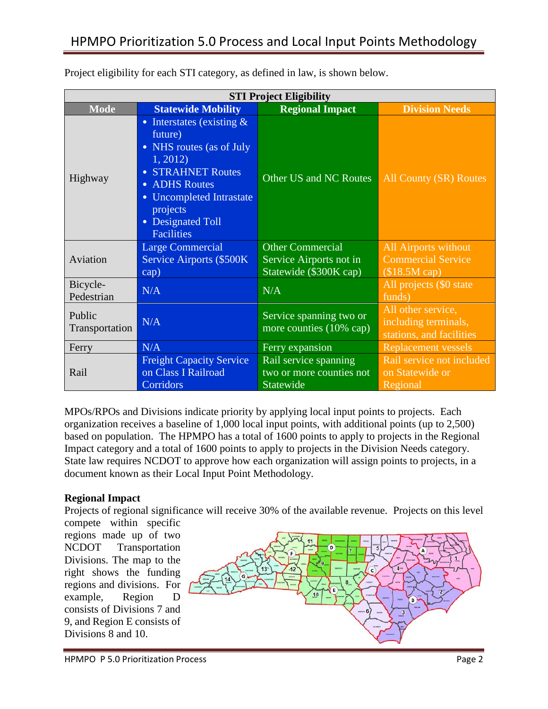| <b>STI Project Eligibility</b> |                                                                                                                                                                                                                 |                                                                              |                                                                        |  |  |  |  |  |
|--------------------------------|-----------------------------------------------------------------------------------------------------------------------------------------------------------------------------------------------------------------|------------------------------------------------------------------------------|------------------------------------------------------------------------|--|--|--|--|--|
| <b>Mode</b>                    | <b>Statewide Mobility</b>                                                                                                                                                                                       | <b>Regional Impact</b>                                                       | <b>Division Needs</b>                                                  |  |  |  |  |  |
| Highway                        | • Interstates (existing $&$<br>future)<br>• NHS routes (as of July<br>1, 2012<br>• STRAHNET Routes<br>• ADHS Routes<br><b>Uncompleted Intrastate</b><br>projects<br><b>Designated Toll</b><br><b>Facilities</b> | Other US and NC Routes                                                       | All County (SR) Routes                                                 |  |  |  |  |  |
| Aviation                       | <b>Large Commercial</b><br>Service Airports (\$500K)<br>cap)                                                                                                                                                    | <b>Other Commercial</b><br>Service Airports not in<br>Statewide (\$300K cap) | All Airports without<br><b>Commercial Service</b><br>$$18.5M$ cap)     |  |  |  |  |  |
| Bicycle-<br>Pedestrian         | N/A                                                                                                                                                                                                             | N/A                                                                          | All projects (\$0 state)<br>funds)                                     |  |  |  |  |  |
| Public<br>Transportation       | N/A                                                                                                                                                                                                             | Service spanning two or<br>more counties (10% cap)                           | All other service,<br>including terminals,<br>stations, and facilities |  |  |  |  |  |
| Ferry                          | N/A                                                                                                                                                                                                             | Ferry expansion                                                              | <b>Replacement vessels</b>                                             |  |  |  |  |  |
| Rail                           | <b>Freight Capacity Service</b><br>on Class I Railroad<br>Corridors                                                                                                                                             | Rail service spanning<br>two or more counties not<br>Statewide               | Rail service not included<br>on Statewide or<br>Regional               |  |  |  |  |  |

Project eligibility for each STI category, as defined in law, is shown below.

MPOs/RPOs and Divisions indicate priority by applying local input points to projects. Each organization receives a baseline of 1,000 local input points, with additional points (up to 2,500) based on population. The HPMPO has a total of 1600 points to apply to projects in the Regional Impact category and a total of 1600 points to apply to projects in the Division Needs category. State law requires NCDOT to approve how each organization will assign points to projects, in a document known as their Local Input Point Methodology.

#### **Regional Impact**

Projects of regional significance will receive 30% of the available revenue. Projects on this level

compete within specific regions made up of two NCDOT Transportation Divisions. The map to the right shows the funding regions and divisions. For example, Region D consists of Divisions 7 and 9, and Region E consists of Divisions 8 and 10.

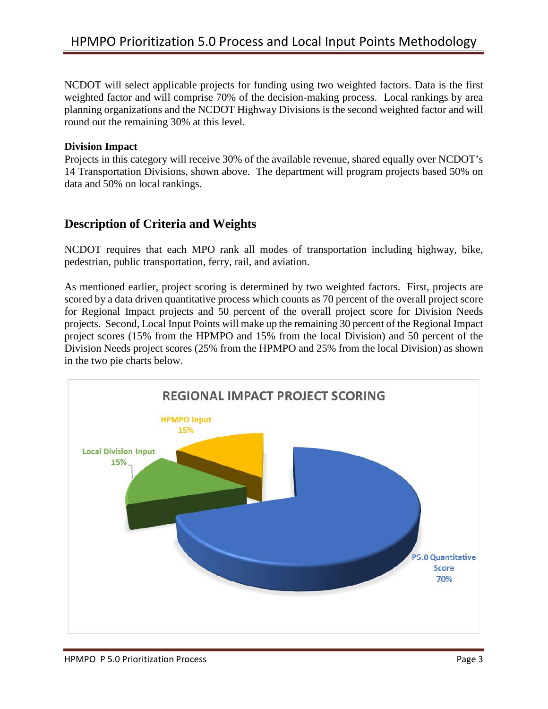# HPMPO Prioritization 5.0 Process and Local Input Points Methodology

NCDOT will select applicable projects for funding using two weighted factors. Data is the first weighted factor and will comprise 70% of the decision-making process. Local rankings by area planning organizations and the NCDOT Highway Divisions is the second weighted factor and will round out the remaining 30% at this level.

#### **Division Impact**

Projects in this category will receive 30% of the available revenue, shared equally over NCDOT's 14 Transportation Divisions, shown above. The department will program projects based 50% on data and 50% on local rankings.

### **Description of Criteria and Weights**

NCDOT requires that each MPO rank all modes of transportation including highway, bike, pedestrian, public transportation, ferry, rail, and aviation.

As mentioned earlier, project scoring is determined by two weighted factors. First, projects are scored by a data driven quantitative process which counts as 70 percent of the overall project score for Regional Impact projects and 50 percent of the overall project score for Division Needs projects. Second, Local Input Points will make up the remaining 30 percent of the Regional Impact project scores (15% from the HPMPO and 15% from the local Division) and 50 percent of the Division Needs project scores (25% from the HPMPO and 25% from the local Division) as shown in the two pie charts below.

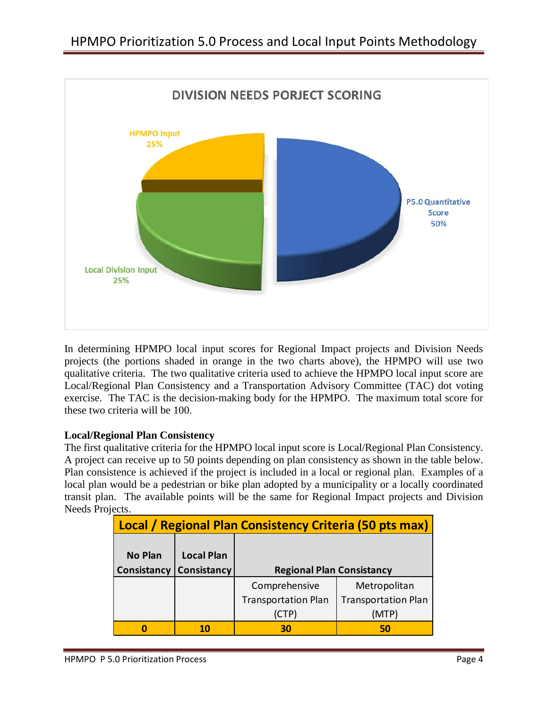

In determining HPMPO local input scores for Regional Impact projects and Division Needs projects (the portions shaded in orange in the two charts above), the HPMPO will use two qualitative criteria. The two qualitative criteria used to achieve the HPMPO local input score are Local/Regional Plan Consistency and a Transportation Advisory Committee (TAC) dot voting exercise. The TAC is the decision-making body for the HPMPO. The maximum total score for these two criteria will be 100.

#### **Local/Regional Plan Consistency**

The first qualitative criteria for the HPMPO local input score is Local/Regional Plan Consistency. A project can receive up to 50 points depending on plan consistency as shown in the table below. Plan consistence is achieved if the project is included in a local or regional plan. Examples of a local plan would be a pedestrian or bike plan adopted by a municipality or a locally coordinated transit plan. The available points will be the same for Regional Impact projects and Division Needs Projects.

| Local / Regional Plan Consistency Criteria (50 pts max) |                    |                                  |                            |  |  |  |  |  |  |  |
|---------------------------------------------------------|--------------------|----------------------------------|----------------------------|--|--|--|--|--|--|--|
|                                                         |                    |                                  |                            |  |  |  |  |  |  |  |
| <b>No Plan</b>                                          | <b>Local Plan</b>  |                                  |                            |  |  |  |  |  |  |  |
| Consistancy                                             | <b>Consistancy</b> | <b>Regional Plan Consistancy</b> |                            |  |  |  |  |  |  |  |
|                                                         |                    | Comprehensive                    | Metropolitan               |  |  |  |  |  |  |  |
|                                                         |                    | <b>Transportation Plan</b>       | <b>Transportation Plan</b> |  |  |  |  |  |  |  |
|                                                         |                    | (CTP)                            | (MTP)                      |  |  |  |  |  |  |  |
|                                                         |                    | 30                               | 50                         |  |  |  |  |  |  |  |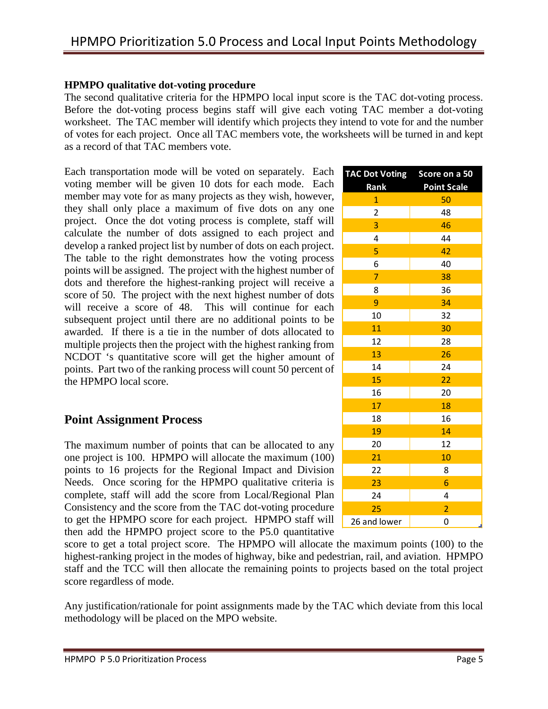#### **HPMPO qualitative dot-voting procedure**

The second qualitative criteria for the HPMPO local input score is the TAC dot-voting process. Before the dot-voting process begins staff will give each voting TAC member a dot-voting worksheet. The TAC member will identify which projects they intend to vote for and the number of votes for each project. Once all TAC members vote, the worksheets will be turned in and kept as a record of that TAC members vote.

Each transportation mode will be voted on separately. Each voting member will be given 10 dots for each mode. Each member may vote for as many projects as they wish, however, they shall only place a maximum of five dots on any one project. Once the dot voting process is complete, staff will calculate the number of dots assigned to each project and develop a ranked project list by number of dots on each project. The table to the right demonstrates how the voting process points will be assigned. The project with the highest number of dots and therefore the highest-ranking project will receive a score of 50. The project with the next highest number of dots will receive a score of 48. This will continue for each subsequent project until there are no additional points to be awarded. If there is a tie in the number of dots allocated to multiple projects then the project with the highest ranking from NCDOT 's quantitative score will get the higher amount of points. Part two of the ranking process will count 50 percent of the HPMPO local score.

### **Point Assignment Process**

The maximum number of points that can be allocated to any one project is 100. HPMPO will allocate the maximum (100) points to 16 projects for the Regional Impact and Division Needs. Once scoring for the HPMPO qualitative criteria is complete, staff will add the score from Local/Regional Plan Consistency and the score from the TAC dot-voting procedure to get the HPMPO score for each project. HPMPO staff will then add the HPMPO project score to the P5.0 quantitative

score to get a total project score. The HPMPO will allocate the maximum points (100) to the highest-ranking project in the modes of highway, bike and pedestrian, rail, and aviation. HPMPO staff and the TCC will then allocate the remaining points to projects based on the total project score regardless of mode.

Any justification/rationale for point assignments made by the TAC which deviate from this local methodology will be placed on the MPO website.

| <b>TAC Dot Voting</b>   | Score on a 50           |  |  |  |  |  |  |
|-------------------------|-------------------------|--|--|--|--|--|--|
| Rank                    | <b>Point Scale</b>      |  |  |  |  |  |  |
| $\overline{1}$          | 50                      |  |  |  |  |  |  |
| $\overline{\mathbf{c}}$ | 48                      |  |  |  |  |  |  |
| 3                       | 46                      |  |  |  |  |  |  |
| 4                       | 44                      |  |  |  |  |  |  |
| 5                       | 42                      |  |  |  |  |  |  |
| 6                       | 40                      |  |  |  |  |  |  |
| $\overline{7}$          | 38                      |  |  |  |  |  |  |
| 8                       | 36                      |  |  |  |  |  |  |
| 9                       | 34                      |  |  |  |  |  |  |
| 10                      | 32                      |  |  |  |  |  |  |
| 11                      | 30                      |  |  |  |  |  |  |
| 12                      | 28                      |  |  |  |  |  |  |
| 13                      | 26                      |  |  |  |  |  |  |
| 14                      | 24                      |  |  |  |  |  |  |
| 15                      | 22                      |  |  |  |  |  |  |
| 16                      | 20                      |  |  |  |  |  |  |
| 17                      | 18                      |  |  |  |  |  |  |
| 18                      | 16                      |  |  |  |  |  |  |
| 19                      | 14                      |  |  |  |  |  |  |
| 20                      | 12                      |  |  |  |  |  |  |
| 21                      | 10                      |  |  |  |  |  |  |
| 22                      | 8                       |  |  |  |  |  |  |
| 23                      | 6                       |  |  |  |  |  |  |
| 24                      | $\overline{\mathbf{4}}$ |  |  |  |  |  |  |
| 25                      | $\overline{2}$          |  |  |  |  |  |  |
| 26 and lower            | 0                       |  |  |  |  |  |  |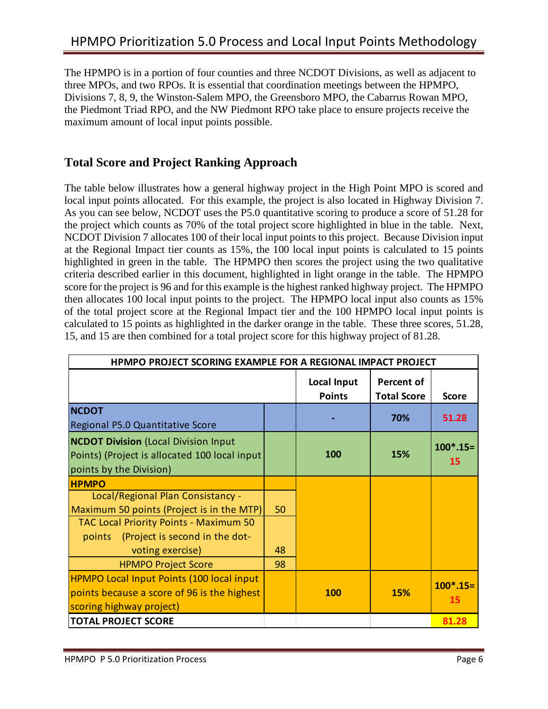The HPMPO is in a portion of four counties and three NCDOT Divisions, as well as adjacent to three MPOs, and two RPOs. It is essential that coordination meetings between the HPMPO, Divisions 7, 8, 9, the Winston-Salem MPO, the Greensboro MPO, the Cabarrus Rowan MPO, the Piedmont Triad RPO, and the NW Piedmont RPO take place to ensure projects receive the maximum amount of local input points possible.

### **Total Score and Project Ranking Approach**

The table below illustrates how a general highway project in the High Point MPO is scored and local input points allocated. For this example, the project is also located in Highway Division 7. As you can see below, NCDOT uses the P5.0 quantitative scoring to produce a score of 51.28 for the project which counts as 70% of the total project score highlighted in blue in the table. Next, NCDOT Division 7 allocates 100 of their local input points to this project. Because Division input at the Regional Impact tier counts as 15%, the 100 local input points is calculated to 15 points highlighted in green in the table. The HPMPO then scores the project using the two qualitative criteria described earlier in this document, highlighted in light orange in the table. The HPMPO score for the project is 96 and for this example is the highest ranked highway project. The HPMPO then allocates 100 local input points to the project. The HPMPO local input also counts as 15% of the total project score at the Regional Impact tier and the 100 HPMPO local input points is calculated to 15 points as highlighted in the darker orange in the table. These three scores, 51.28, 15, and 15 are then combined for a total project score for this highway project of 81.28.

| <b>HPMPO PROJECT SCORING EXAMPLE FOR A REGIONAL IMPACT PROJECT</b>                                                      |                              |                                  |              |                  |  |  |  |
|-------------------------------------------------------------------------------------------------------------------------|------------------------------|----------------------------------|--------------|------------------|--|--|--|
|                                                                                                                         | Local Input<br><b>Points</b> | Percent of<br><b>Total Score</b> | <b>Score</b> |                  |  |  |  |
| <b>NCDOT</b><br>Regional P5.0 Quantitative Score                                                                        |                              |                                  | 70%          | 51.28            |  |  |  |
| <b>NCDOT Division (Local Division Input</b><br>Points) (Project is allocated 100 local input<br>points by the Division) |                              | <b>100</b>                       | 15%          | $100*.15=$<br>15 |  |  |  |
| <b>HPMPO</b>                                                                                                            |                              |                                  |              |                  |  |  |  |
| Local/Regional Plan Consistancy -<br>Maximum 50 points (Project is in the MTP)                                          | 50                           |                                  |              |                  |  |  |  |
| <b>TAC Local Priority Points - Maximum 50</b><br>points (Project is second in the dot-                                  |                              |                                  |              |                  |  |  |  |
| voting exercise)                                                                                                        | 48                           |                                  |              |                  |  |  |  |
| <b>HPMPO Project Score</b>                                                                                              | 98                           |                                  |              |                  |  |  |  |
| <b>HPMPO Local Input Points (100 local input</b>                                                                        |                              |                                  |              | $100^*$ .15=     |  |  |  |
| points because a score of 96 is the highest                                                                             |                              | <b>100</b>                       | <b>15%</b>   | 15               |  |  |  |
| scoring highway project)                                                                                                |                              |                                  |              |                  |  |  |  |
| <b>TOTAL PROJECT SCORE</b>                                                                                              |                              |                                  |              | 81.28            |  |  |  |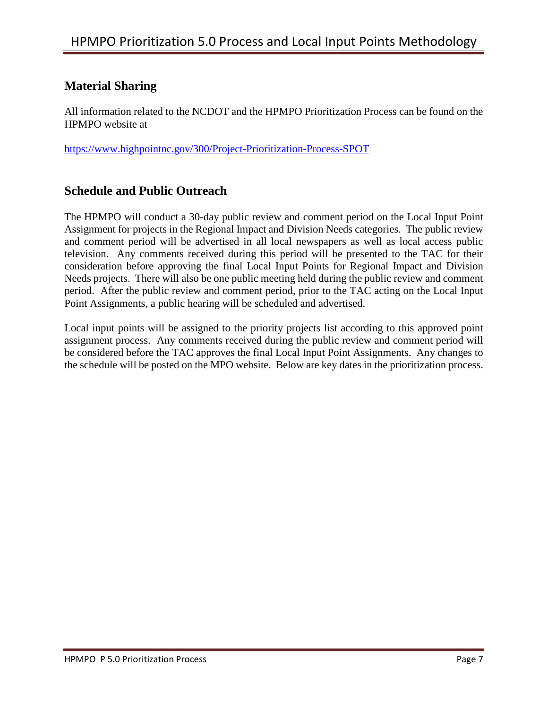## **Material Sharing**

All information related to the NCDOT and the HPMPO Prioritization Process can be found on the HPMPO website at

<https://www.highpointnc.gov/300/Project-Prioritization-Process-SPOT>

### **Schedule and Public Outreach**

The HPMPO will conduct a 30-day public review and comment period on the Local Input Point Assignment for projects in the Regional Impact and Division Needs categories. The public review and comment period will be advertised in all local newspapers as well as local access public television. Any comments received during this period will be presented to the TAC for their consideration before approving the final Local Input Points for Regional Impact and Division Needs projects. There will also be one public meeting held during the public review and comment period. After the public review and comment period, prior to the TAC acting on the Local Input Point Assignments, a public hearing will be scheduled and advertised.

Local input points will be assigned to the priority projects list according to this approved point assignment process. Any comments received during the public review and comment period will be considered before the TAC approves the final Local Input Point Assignments. Any changes to the schedule will be posted on the MPO website. Below are key dates in the prioritization process.